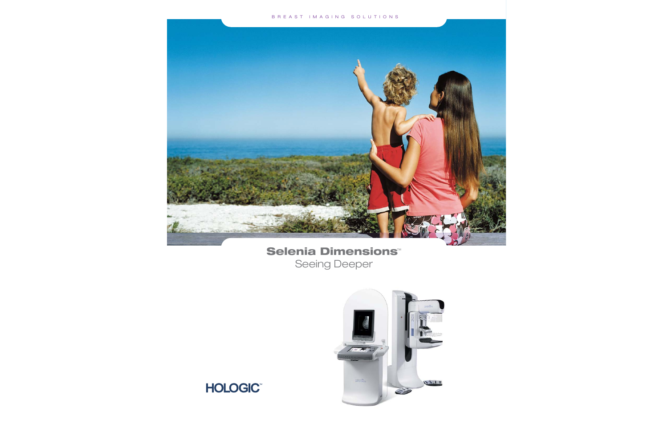

# **Selenia Dimensions**™ Seeing Deeper



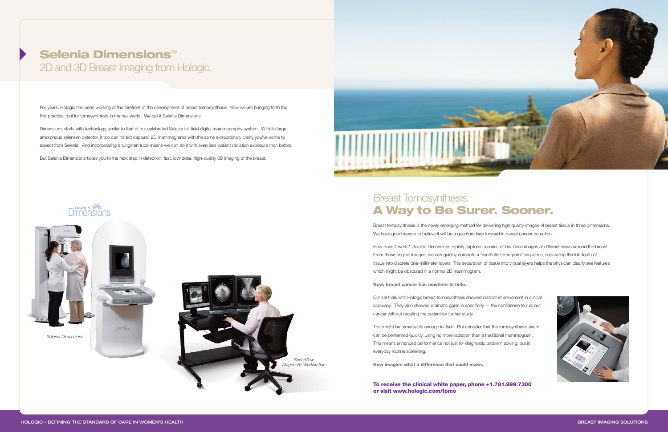## **Selenia Dimensions** ™ 2D and 3D Breast Imaging from Hologic.

For years, Hologic has been working at the forefront of the development of breast tomosynthesis. Now we are bringing forth the first practical tool for tomosynthesis in the real world. We call it Selenia Dimensions.

Dimensions starts with technology similar to that of our celebrated Selenia full-field digital mammography system. With its large amorphous selenium detector, it too can "direct capture" 2D mammograms with the same extraordinary clarity you've come to expect from Selenia. And incorporating a tungsten tube means we can do it with even less patient radiation exposure than before.

But Selenia Dimensions takes you to the next step in detection: fast, low-dose, high-quality 3D imaging of the breast.



### Breast Tomosynthesis. **A Way to Be Surer. Sooner.**

Breast tomosynthesis is the newly emerging method for delivering high quality images of breast tissue in three dimensions. We have good reason to believe it will be a quantum leap forward in breast cancer detection.

How does it work? Selenia Dimensions rapidly captures a series of low-dose images at different views around the breast. From these original images, we can quickly compute a "synthetic tomogram" sequence, separating the full depth of tissue into discrete one-millimeter layers. This separation of tissue into virtual layers helps the physician clearly see features which might be obscured in a normal 2D mammogram.

**Now, breast cancer has nowhere to hide.**

Clinical trials with Hologic breast tomosynthesis showed distinct improvement in clinical accuracy. They also showed dramatic gains in specificity — the confidence to rule out cancer without recalling the patient for further study.

That might be remarkable enough in itself. But consider that the tomosynthesis exam can be performed quickly, using no more radiation than a traditional mammogram. This means enhanced performance not just for diagnostic problem solving, but in everyday routine screening.

**Now imagine what a difference that could make.**

**To receive the clinical white paper, phone +1.781.999.7300 or visit www.hologic.com/tomo**